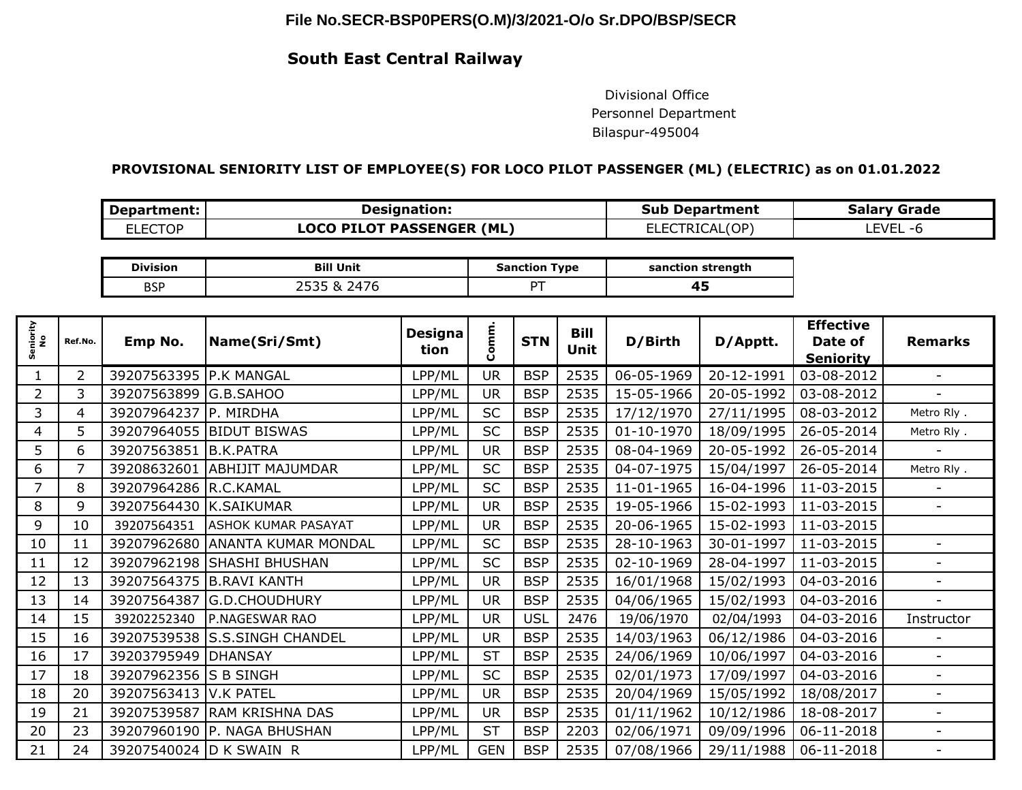## **File No.SECR-BSP0PERS(O.M)/3/2021-O/o Sr.DPO/BSP/SECR**

## **South East Central Railway**

 Divisional Office Personnel Department Bilaspur-495004

## **PROVISIONAL SENIORITY LIST OF EMPLOYEE(S) FOR LOCO PILOT PASSENGER (ML) (ELECTRIC) as on 01.01.2022**

| Department: | <b>Designation:</b>              | <b>Sub Department</b> | <b>Salary Grade</b> |  |  |
|-------------|----------------------------------|-----------------------|---------------------|--|--|
| LLECTOP     | <b>LOCO PILOT PASSENGER (ML)</b> | ELECTRICAL(OP)        | LEVEL<br>$-r$       |  |  |

| <b>Division</b> | Unit<br>Bil  | <b>Sanction Type</b> | sanction strength |  |  |
|-----------------|--------------|----------------------|-------------------|--|--|
| <b>BSP</b>      | ,⊿<br>$\sim$ |                      | −                 |  |  |

| Seniority<br>No | Ref.No. | Emp No.                 | Name(Sri/Smt)              | <b>Designa</b> | Comm       | <b>STN</b> | <b>Bill</b> | D/Birth    | D/Apptt.   | <b>Effective</b><br>Date of | <b>Remarks</b>           |
|-----------------|---------|-------------------------|----------------------------|----------------|------------|------------|-------------|------------|------------|-----------------------------|--------------------------|
|                 |         |                         |                            | tion           |            |            | <b>Unit</b> |            |            | <b>Seniority</b>            |                          |
|                 | 2       | 39207563395 P.K MANGAL  |                            | LPP/ML         | <b>UR</b>  | <b>BSP</b> | 2535        | 06-05-1969 | 20-12-1991 | 03-08-2012                  | $\overline{\phantom{a}}$ |
| 2               | 3       | 39207563899             | G.B.SAHOO                  | LPP/ML         | <b>UR</b>  | <b>BSP</b> | 2535        | 15-05-1966 | 20-05-1992 | 03-08-2012                  |                          |
| 3               | 4       | 39207964237             | P. MIRDHA                  | LPP/ML         | <b>SC</b>  | <b>BSP</b> | 2535        | 17/12/1970 | 27/11/1995 | 08-03-2012                  | Metro Rly.               |
| 4               | 5       | 39207964055             | <b>BIDUT BISWAS</b>        | LPP/ML         | <b>SC</b>  | <b>BSP</b> | 2535        | 01-10-1970 | 18/09/1995 | 26-05-2014                  | Metro Rly.               |
| 5               | 6       | 39207563851             | B.K.PATRA                  | LPP/ML         | <b>UR</b>  | <b>BSP</b> | 2535        | 08-04-1969 | 20-05-1992 | 26-05-2014                  |                          |
| 6               | 7       | 39208632601             | <b>ABHIJIT MAJUMDAR</b>    | LPP/ML         | <b>SC</b>  | <b>BSP</b> | 2535        | 04-07-1975 | 15/04/1997 | 26-05-2014                  | Metro Rly.               |
| 7               | 8       | 39207964286             | R.C.KAMAL                  | LPP/ML         | <b>SC</b>  | <b>BSP</b> | 2535        | 11-01-1965 | 16-04-1996 | 11-03-2015                  |                          |
| 8               | 9       | 39207564430             | <b>K.SAIKUMAR</b>          | LPP/ML         | <b>UR</b>  | <b>BSP</b> | 2535        | 19-05-1966 | 15-02-1993 | 11-03-2015                  | $\blacksquare$           |
| 9               | 10      | 39207564351             | <b>ASHOK KUMAR PASAYAT</b> | LPP/ML         | <b>UR</b>  | <b>BSP</b> | 2535        | 20-06-1965 | 15-02-1993 | 11-03-2015                  |                          |
| 10              | 11      | 39207962680             | ANANTA KUMAR MONDAL        | LPP/ML         | <b>SC</b>  | <b>BSP</b> | 2535        | 28-10-1963 | 30-01-1997 | 11-03-2015                  |                          |
| 11              | 12      | 39207962198             | <b>SHASHI BHUSHAN</b>      | LPP/ML         | <b>SC</b>  | <b>BSP</b> | 2535        | 02-10-1969 | 28-04-1997 | 11-03-2015                  |                          |
| 12              | 13      | 39207564375             | <b>B.RAVI KANTH</b>        | LPP/ML         | <b>UR</b>  | <b>BSP</b> | 2535        | 16/01/1968 | 15/02/1993 | 04-03-2016                  | ÷                        |
| 13              | 14      | 39207564387             | G.D.CHOUDHURY              | LPP/ML         | <b>UR</b>  | <b>BSP</b> | 2535        | 04/06/1965 | 15/02/1993 | 04-03-2016                  |                          |
| 14              | 15      | 39202252340             | P.NAGESWAR RAO             | LPP/ML         | <b>UR</b>  | <b>USL</b> | 2476        | 19/06/1970 | 02/04/1993 | 04-03-2016                  | Instructor               |
| 15              | 16      | 39207539538             | <b>S.S.SINGH CHANDEL</b>   | LPP/ML         | <b>UR</b>  | <b>BSP</b> | 2535        | 14/03/1963 | 06/12/1986 | 04-03-2016                  |                          |
| 16              | 17      | 39203795949             | <b>DHANSAY</b>             | LPP/ML         | <b>ST</b>  | <b>BSP</b> | 2535        | 24/06/1969 | 10/06/1997 | 04-03-2016                  | ÷                        |
| 17              | 18      | 39207962356             | <b>S B SINGH</b>           | LPP/ML         | <b>SC</b>  | <b>BSP</b> | 2535        | 02/01/1973 | 17/09/1997 | 04-03-2016                  | $\blacksquare$           |
| 18              | 20      | 39207563413             | <b>V.K PATEL</b>           | LPP/ML         | <b>UR</b>  | <b>BSP</b> | 2535        | 20/04/1969 | 15/05/1992 | 18/08/2017                  |                          |
| 19              | 21      | 39207539587             | <b>RAM KRISHNA DAS</b>     | LPP/ML         | <b>UR</b>  | <b>BSP</b> | 2535        | 01/11/1962 | 10/12/1986 | 18-08-2017                  | ÷                        |
| 20              | 23      | 39207960190             | P. NAGA BHUSHAN            | LPP/ML         | <b>ST</b>  | <b>BSP</b> | 2203        | 02/06/1971 | 09/09/1996 | 06-11-2018                  |                          |
| 21              | 24      | 39207540024 D K SWAIN R |                            | LPP/ML         | <b>GEN</b> | <b>BSP</b> | 2535        | 07/08/1966 | 29/11/1988 | 06-11-2018                  |                          |